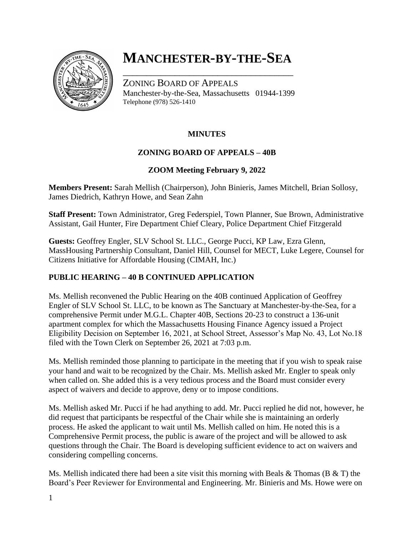

# **MANCHESTER-BY-THE-SEA**

\_\_\_\_\_\_\_\_\_\_\_\_\_\_\_\_\_\_\_\_\_\_\_\_\_\_\_\_\_\_\_\_\_\_\_\_

ZONING BOARD OF APPEALS Manchester-by-the-Sea, Massachusetts 01944-1399 Telephone (978) 526-1410

## **MINUTES**

## **ZONING BOARD OF APPEALS – 40B**

## **ZOOM Meeting February 9, 2022**

**Members Present:** Sarah Mellish (Chairperson), John Binieris, James Mitchell, Brian Sollosy, James Diedrich, Kathryn Howe, and Sean Zahn

**Staff Present:** Town Administrator, Greg Federspiel, Town Planner, Sue Brown, Administrative Assistant, Gail Hunter, Fire Department Chief Cleary, Police Department Chief Fitzgerald

**Guests:** Geoffrey Engler, SLV School St. LLC., George Pucci, KP Law, Ezra Glenn, MassHousing Partnership Consultant, Daniel Hill, Counsel for MECT, Luke Legere, Counsel for Citizens Initiative for Affordable Housing (CIMAH, Inc.)

## **PUBLIC HEARING – 40 B CONTINUED APPLICATION**

Ms. Mellish reconvened the Public Hearing on the 40B continued Application of Geoffrey Engler of SLV School St. LLC, to be known as The Sanctuary at Manchester-by-the-Sea, for a comprehensive Permit under M.G.L. Chapter 40B, Sections 20-23 to construct a 136-unit apartment complex for which the Massachusetts Housing Finance Agency issued a Project Eligibility Decision on September 16, 2021, at School Street, Assessor's Map No. 43, Lot No.18 filed with the Town Clerk on September 26, 2021 at 7:03 p.m.

Ms. Mellish reminded those planning to participate in the meeting that if you wish to speak raise your hand and wait to be recognized by the Chair. Ms. Mellish asked Mr. Engler to speak only when called on. She added this is a very tedious process and the Board must consider every aspect of waivers and decide to approve, deny or to impose conditions.

Ms. Mellish asked Mr. Pucci if he had anything to add. Mr. Pucci replied he did not, however, he did request that participants be respectful of the Chair while she is maintaining an orderly process. He asked the applicant to wait until Ms. Mellish called on him. He noted this is a Comprehensive Permit process, the public is aware of the project and will be allowed to ask questions through the Chair. The Board is developing sufficient evidence to act on waivers and considering compelling concerns.

Ms. Mellish indicated there had been a site visit this morning with Beals & Thomas ( $B \& T$ ) the Board's Peer Reviewer for Environmental and Engineering. Mr. Binieris and Ms. Howe were on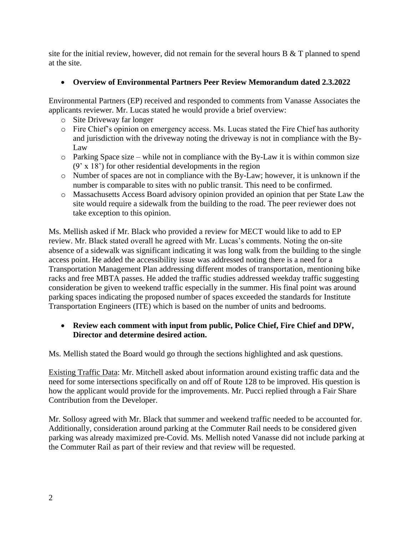site for the initial review, however, did not remain for the several hours  $B \& T$  planned to spend at the site.

## • **Overview of Environmental Partners Peer Review Memorandum dated 2.3.2022**

Environmental Partners (EP) received and responded to comments from Vanasse Associates the applicants reviewer. Mr. Lucas stated he would provide a brief overview:

- o Site Driveway far longer
- o Fire Chief's opinion on emergency access. Ms. Lucas stated the Fire Chief has authority and jurisdiction with the driveway noting the driveway is not in compliance with the By-Law
- $\circ$  Parking Space size while not in compliance with the By-Law it is within common size (9' x 18') for other residential developments in the region
- o Number of spaces are not in compliance with the By-Law; however, it is unknown if the number is comparable to sites with no public transit. This need to be confirmed.
- o Massachusetts Access Board advisory opinion provided an opinion that per State Law the site would require a sidewalk from the building to the road. The peer reviewer does not take exception to this opinion.

Ms. Mellish asked if Mr. Black who provided a review for MECT would like to add to EP review. Mr. Black stated overall he agreed with Mr. Lucas's comments. Noting the on-site absence of a sidewalk was significant indicating it was long walk from the building to the single access point. He added the accessibility issue was addressed noting there is a need for a Transportation Management Plan addressing different modes of transportation, mentioning bike racks and free MBTA passes. He added the traffic studies addressed weekday traffic suggesting consideration be given to weekend traffic especially in the summer. His final point was around parking spaces indicating the proposed number of spaces exceeded the standards for Institute Transportation Engineers (ITE) which is based on the number of units and bedrooms.

### • **Review each comment with input from public, Police Chief, Fire Chief and DPW, Director and determine desired action.**

Ms. Mellish stated the Board would go through the sections highlighted and ask questions.

Existing Traffic Data: Mr. Mitchell asked about information around existing traffic data and the need for some intersections specifically on and off of Route 128 to be improved. His question is how the applicant would provide for the improvements. Mr. Pucci replied through a Fair Share Contribution from the Developer.

Mr. Sollosy agreed with Mr. Black that summer and weekend traffic needed to be accounted for. Additionally, consideration around parking at the Commuter Rail needs to be considered given parking was already maximized pre-Covid. Ms. Mellish noted Vanasse did not include parking at the Commuter Rail as part of their review and that review will be requested.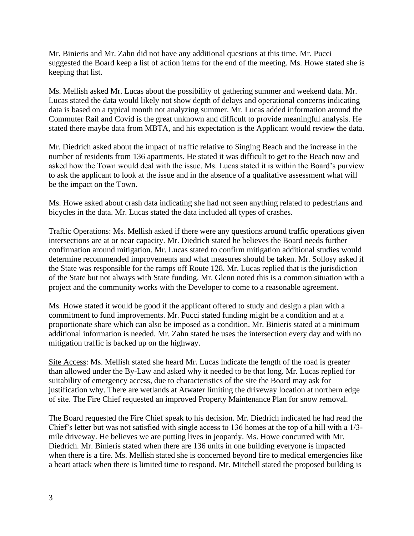Mr. Binieris and Mr. Zahn did not have any additional questions at this time. Mr. Pucci suggested the Board keep a list of action items for the end of the meeting. Ms. Howe stated she is keeping that list.

Ms. Mellish asked Mr. Lucas about the possibility of gathering summer and weekend data. Mr. Lucas stated the data would likely not show depth of delays and operational concerns indicating data is based on a typical month not analyzing summer. Mr. Lucas added information around the Commuter Rail and Covid is the great unknown and difficult to provide meaningful analysis. He stated there maybe data from MBTA, and his expectation is the Applicant would review the data.

Mr. Diedrich asked about the impact of traffic relative to Singing Beach and the increase in the number of residents from 136 apartments. He stated it was difficult to get to the Beach now and asked how the Town would deal with the issue. Ms. Lucas stated it is within the Board's purview to ask the applicant to look at the issue and in the absence of a qualitative assessment what will be the impact on the Town.

Ms. Howe asked about crash data indicating she had not seen anything related to pedestrians and bicycles in the data. Mr. Lucas stated the data included all types of crashes.

Traffic Operations: Ms. Mellish asked if there were any questions around traffic operations given intersections are at or near capacity. Mr. Diedrich stated he believes the Board needs further confirmation around mitigation. Mr. Lucas stated to confirm mitigation additional studies would determine recommended improvements and what measures should be taken. Mr. Sollosy asked if the State was responsible for the ramps off Route 128. Mr. Lucas replied that is the jurisdiction of the State but not always with State funding. Mr. Glenn noted this is a common situation with a project and the community works with the Developer to come to a reasonable agreement.

Ms. Howe stated it would be good if the applicant offered to study and design a plan with a commitment to fund improvements. Mr. Pucci stated funding might be a condition and at a proportionate share which can also be imposed as a condition. Mr. Binieris stated at a minimum additional information is needed. Mr. Zahn stated he uses the intersection every day and with no mitigation traffic is backed up on the highway.

Site Access: Ms. Mellish stated she heard Mr. Lucas indicate the length of the road is greater than allowed under the By-Law and asked why it needed to be that long. Mr. Lucas replied for suitability of emergency access, due to characteristics of the site the Board may ask for justification why. There are wetlands at Atwater limiting the driveway location at northern edge of site. The Fire Chief requested an improved Property Maintenance Plan for snow removal.

The Board requested the Fire Chief speak to his decision. Mr. Diedrich indicated he had read the Chief's letter but was not satisfied with single access to 136 homes at the top of a hill with a 1/3 mile driveway. He believes we are putting lives in jeopardy. Ms. Howe concurred with Mr. Diedrich. Mr. Binieris stated when there are 136 units in one building everyone is impacted when there is a fire. Ms. Mellish stated she is concerned beyond fire to medical emergencies like a heart attack when there is limited time to respond. Mr. Mitchell stated the proposed building is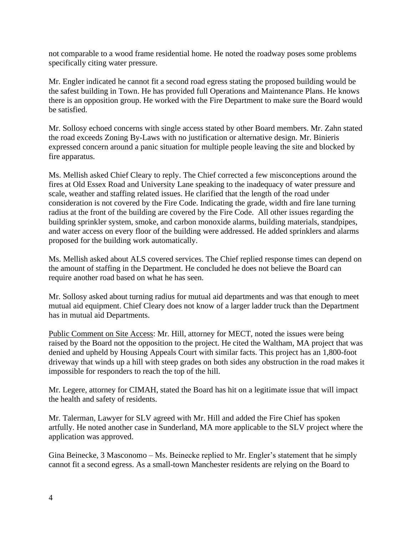not comparable to a wood frame residential home. He noted the roadway poses some problems specifically citing water pressure.

Mr. Engler indicated he cannot fit a second road egress stating the proposed building would be the safest building in Town. He has provided full Operations and Maintenance Plans. He knows there is an opposition group. He worked with the Fire Department to make sure the Board would be satisfied.

Mr. Sollosy echoed concerns with single access stated by other Board members. Mr. Zahn stated the road exceeds Zoning By-Laws with no justification or alternative design. Mr. Binieris expressed concern around a panic situation for multiple people leaving the site and blocked by fire apparatus.

Ms. Mellish asked Chief Cleary to reply. The Chief corrected a few misconceptions around the fires at Old Essex Road and University Lane speaking to the inadequacy of water pressure and scale, weather and staffing related issues. He clarified that the length of the road under consideration is not covered by the Fire Code. Indicating the grade, width and fire lane turning radius at the front of the building are covered by the Fire Code. All other issues regarding the building sprinkler system, smoke, and carbon monoxide alarms, building materials, standpipes, and water access on every floor of the building were addressed. He added sprinklers and alarms proposed for the building work automatically.

Ms. Mellish asked about ALS covered services. The Chief replied response times can depend on the amount of staffing in the Department. He concluded he does not believe the Board can require another road based on what he has seen.

Mr. Sollosy asked about turning radius for mutual aid departments and was that enough to meet mutual aid equipment. Chief Cleary does not know of a larger ladder truck than the Department has in mutual aid Departments.

Public Comment on Site Access: Mr. Hill, attorney for MECT, noted the issues were being raised by the Board not the opposition to the project. He cited the Waltham, MA project that was denied and upheld by Housing Appeals Court with similar facts. This project has an 1,800-foot driveway that winds up a hill with steep grades on both sides any obstruction in the road makes it impossible for responders to reach the top of the hill.

Mr. Legere, attorney for CIMAH, stated the Board has hit on a legitimate issue that will impact the health and safety of residents.

Mr. Talerman, Lawyer for SLV agreed with Mr. Hill and added the Fire Chief has spoken artfully. He noted another case in Sunderland, MA more applicable to the SLV project where the application was approved.

Gina Beinecke, 3 Masconomo – Ms. Beinecke replied to Mr. Engler's statement that he simply cannot fit a second egress. As a small-town Manchester residents are relying on the Board to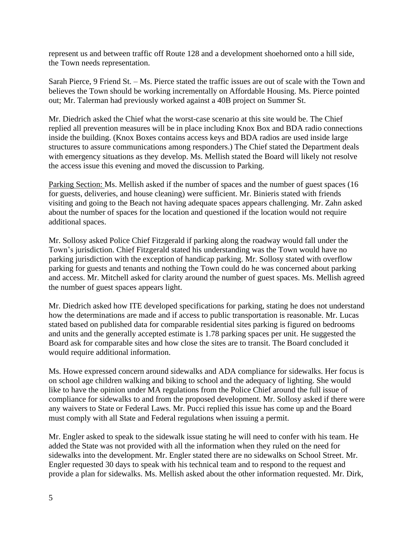represent us and between traffic off Route 128 and a development shoehorned onto a hill side, the Town needs representation.

Sarah Pierce, 9 Friend St. – Ms. Pierce stated the traffic issues are out of scale with the Town and believes the Town should be working incrementally on Affordable Housing. Ms. Pierce pointed out; Mr. Talerman had previously worked against a 40B project on Summer St.

Mr. Diedrich asked the Chief what the worst-case scenario at this site would be. The Chief replied all prevention measures will be in place including Knox Box and BDA radio connections inside the building. (Knox Boxes contains access keys and BDA radios are used inside large structures to assure communications among responders.) The Chief stated the Department deals with emergency situations as they develop. Ms. Mellish stated the Board will likely not resolve the access issue this evening and moved the discussion to Parking.

Parking Section: Ms. Mellish asked if the number of spaces and the number of guest spaces (16 for guests, deliveries, and house cleaning) were sufficient. Mr. Binieris stated with friends visiting and going to the Beach not having adequate spaces appears challenging. Mr. Zahn asked about the number of spaces for the location and questioned if the location would not require additional spaces.

Mr. Sollosy asked Police Chief Fitzgerald if parking along the roadway would fall under the Town's jurisdiction. Chief Fitzgerald stated his understanding was the Town would have no parking jurisdiction with the exception of handicap parking. Mr. Sollosy stated with overflow parking for guests and tenants and nothing the Town could do he was concerned about parking and access. Mr. Mitchell asked for clarity around the number of guest spaces. Ms. Mellish agreed the number of guest spaces appears light.

Mr. Diedrich asked how ITE developed specifications for parking, stating he does not understand how the determinations are made and if access to public transportation is reasonable. Mr. Lucas stated based on published data for comparable residential sites parking is figured on bedrooms and units and the generally accepted estimate is 1.78 parking spaces per unit. He suggested the Board ask for comparable sites and how close the sites are to transit. The Board concluded it would require additional information.

Ms. Howe expressed concern around sidewalks and ADA compliance for sidewalks. Her focus is on school age children walking and biking to school and the adequacy of lighting. She would like to have the opinion under MA regulations from the Police Chief around the full issue of compliance for sidewalks to and from the proposed development. Mr. Sollosy asked if there were any waivers to State or Federal Laws. Mr. Pucci replied this issue has come up and the Board must comply with all State and Federal regulations when issuing a permit.

Mr. Engler asked to speak to the sidewalk issue stating he will need to confer with his team. He added the State was not provided with all the information when they ruled on the need for sidewalks into the development. Mr. Engler stated there are no sidewalks on School Street. Mr. Engler requested 30 days to speak with his technical team and to respond to the request and provide a plan for sidewalks. Ms. Mellish asked about the other information requested. Mr. Dirk,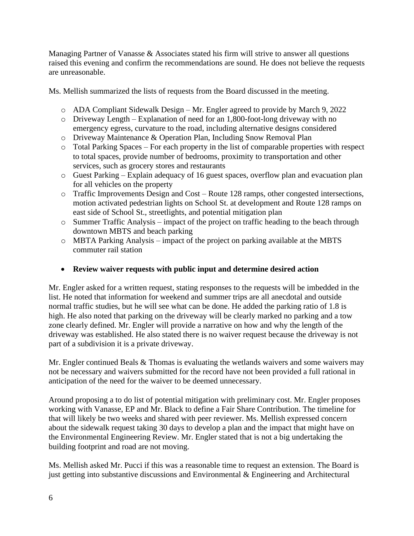Managing Partner of Vanasse & Associates stated his firm will strive to answer all questions raised this evening and confirm the recommendations are sound. He does not believe the requests are unreasonable.

Ms. Mellish summarized the lists of requests from the Board discussed in the meeting.

- o ADA Compliant Sidewalk Design Mr. Engler agreed to provide by March 9, 2022
- o Driveway Length Explanation of need for an 1,800-foot-long driveway with no emergency egress, curvature to the road, including alternative designs considered
- o Driveway Maintenance & Operation Plan, Including Snow Removal Plan
- o Total Parking Spaces For each property in the list of comparable properties with respect to total spaces, provide number of bedrooms, proximity to transportation and other services, such as grocery stores and restaurants
- o Guest Parking Explain adequacy of 16 guest spaces, overflow plan and evacuation plan for all vehicles on the property
- o Traffic Improvements Design and Cost Route 128 ramps, other congested intersections, motion activated pedestrian lights on School St. at development and Route 128 ramps on east side of School St., streetlights, and potential mitigation plan
- o Summer Traffic Analysis impact of the project on traffic heading to the beach through downtown MBTS and beach parking
- o MBTA Parking Analysis impact of the project on parking available at the MBTS commuter rail station

## • **Review waiver requests with public input and determine desired action**

Mr. Engler asked for a written request, stating responses to the requests will be imbedded in the list. He noted that information for weekend and summer trips are all anecdotal and outside normal traffic studies, but he will see what can be done. He added the parking ratio of 1.8 is high. He also noted that parking on the driveway will be clearly marked no parking and a tow zone clearly defined. Mr. Engler will provide a narrative on how and why the length of the driveway was established. He also stated there is no waiver request because the driveway is not part of a subdivision it is a private driveway.

Mr. Engler continued Beals & Thomas is evaluating the wetlands waivers and some waivers may not be necessary and waivers submitted for the record have not been provided a full rational in anticipation of the need for the waiver to be deemed unnecessary.

Around proposing a to do list of potential mitigation with preliminary cost. Mr. Engler proposes working with Vanasse, EP and Mr. Black to define a Fair Share Contribution. The timeline for that will likely be two weeks and shared with peer reviewer. Ms. Mellish expressed concern about the sidewalk request taking 30 days to develop a plan and the impact that might have on the Environmental Engineering Review. Mr. Engler stated that is not a big undertaking the building footprint and road are not moving.

Ms. Mellish asked Mr. Pucci if this was a reasonable time to request an extension. The Board is just getting into substantive discussions and Environmental & Engineering and Architectural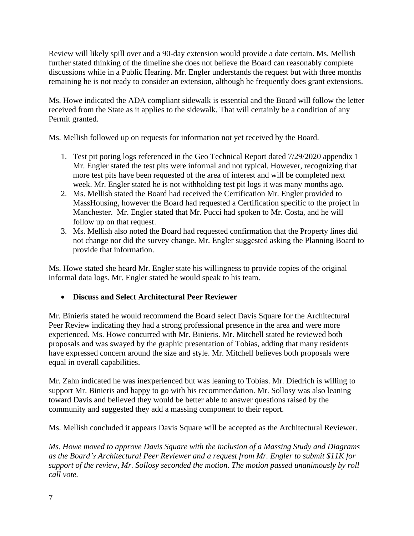Review will likely spill over and a 90-day extension would provide a date certain. Ms. Mellish further stated thinking of the timeline she does not believe the Board can reasonably complete discussions while in a Public Hearing. Mr. Engler understands the request but with three months remaining he is not ready to consider an extension, although he frequently does grant extensions.

Ms. Howe indicated the ADA compliant sidewalk is essential and the Board will follow the letter received from the State as it applies to the sidewalk. That will certainly be a condition of any Permit granted.

Ms. Mellish followed up on requests for information not yet received by the Board.

- 1. Test pit poring logs referenced in the Geo Technical Report dated 7/29/2020 appendix 1 Mr. Engler stated the test pits were informal and not typical. However, recognizing that more test pits have been requested of the area of interest and will be completed next week. Mr. Engler stated he is not withholding test pit logs it was many months ago.
- 2. Ms. Mellish stated the Board had received the Certification Mr. Engler provided to MassHousing, however the Board had requested a Certification specific to the project in Manchester. Mr. Engler stated that Mr. Pucci had spoken to Mr. Costa, and he will follow up on that request.
- 3. Ms. Mellish also noted the Board had requested confirmation that the Property lines did not change nor did the survey change. Mr. Engler suggested asking the Planning Board to provide that information.

Ms. Howe stated she heard Mr. Engler state his willingness to provide copies of the original informal data logs. Mr. Engler stated he would speak to his team.

## • **Discuss and Select Architectural Peer Reviewer**

Mr. Binieris stated he would recommend the Board select Davis Square for the Architectural Peer Review indicating they had a strong professional presence in the area and were more experienced. Ms. Howe concurred with Mr. Binieris. Mr. Mitchell stated he reviewed both proposals and was swayed by the graphic presentation of Tobias, adding that many residents have expressed concern around the size and style. Mr. Mitchell believes both proposals were equal in overall capabilities.

Mr. Zahn indicated he was inexperienced but was leaning to Tobias. Mr. Diedrich is willing to support Mr. Binieris and happy to go with his recommendation. Mr. Sollosy was also leaning toward Davis and believed they would be better able to answer questions raised by the community and suggested they add a massing component to their report.

Ms. Mellish concluded it appears Davis Square will be accepted as the Architectural Reviewer.

*Ms. Howe moved to approve Davis Square with the inclusion of a Massing Study and Diagrams as the Board's Architectural Peer Reviewer and a request from Mr. Engler to submit \$11K for support of the review, Mr. Sollosy seconded the motion. The motion passed unanimously by roll call vote.*